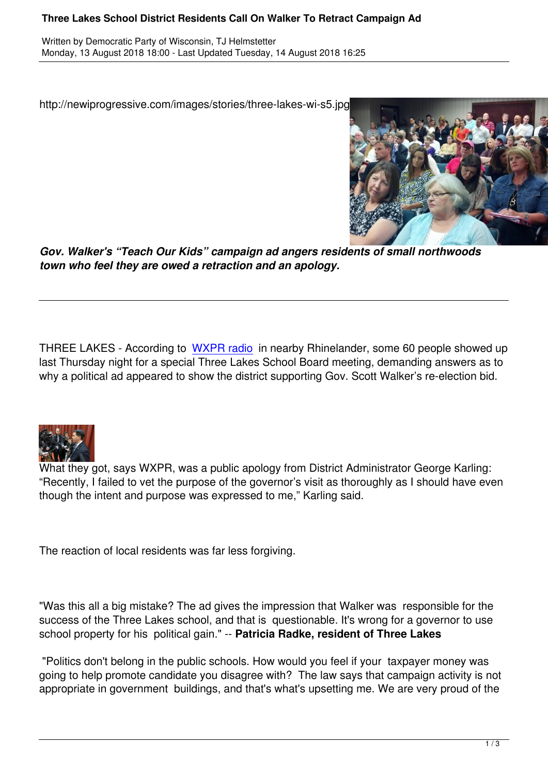http://newiprogressive.com/images/stories/three-lakes-wi-s5.jpg



*Gov. Walker's "Teach Our Kids" campaign ad angers residents of small northwoods town who feel they are owed a retraction and an apology.*

THREE LAKES - According to WXPR radio in nearby Rhinelander, some 60 people showed up last Thursday night for a special Three Lakes School Board meeting, demanding answers as to why a political ad appeared to show the district supporting Gov. Scott Walker's re-election bid.



What they got, says WXPR, was a public apology from District Administrator George Karling: "Recently, I failed to vet the purpose of the governor's visit as thoroughly as I should have even though the intent and purpose was expressed to me," Karling said.

The reaction of local residents was far less forgiving.

"Was this all a big mistake? The ad gives the impression that Walker was responsible for the success of the Three Lakes school, and that is questionable. It's wrong for a governor to use school property for his political gain." -- **Patricia Radke, resident of Three Lakes** 

 "Politics don't belong in the public schools. How would you feel if your taxpayer money was going to help promote candidate you disagree with? The law says that campaign activity is not appropriate in government buildings, and that's what's upsetting me. We are very proud of the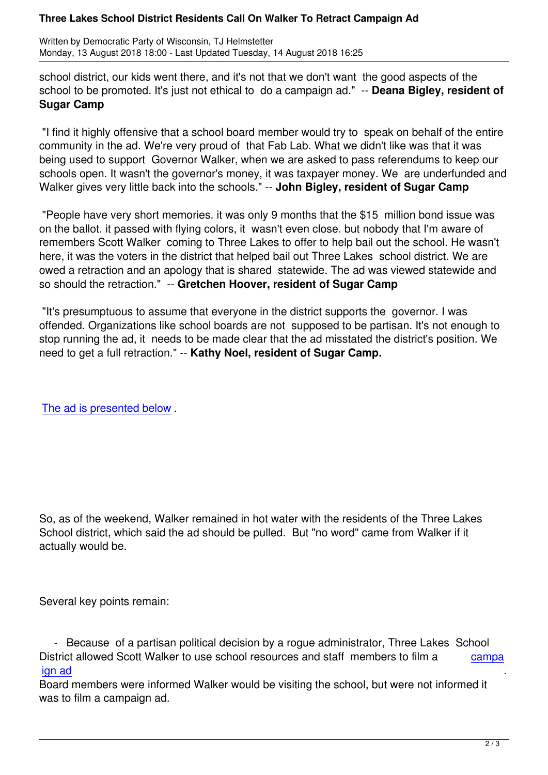school district, our kids went there, and it's not that we don't want the good aspects of the school to be promoted. It's just not ethical to do a campaign ad." -- **Deana Bigley, resident of Sugar Camp** 

 "I find it highly offensive that a school board member would try to speak on behalf of the entire community in the ad. We're very proud of that Fab Lab. What we didn't like was that it was being used to support Governor Walker, when we are asked to pass referendums to keep our schools open. It wasn't the governor's money, it was taxpayer money. We are underfunded and Walker gives very little back into the schools." -- **John Bigley, resident of Sugar Camp** 

 "People have very short memories. it was only 9 months that the \$15 million bond issue was on the ballot. it passed with flying colors, it wasn't even close. but nobody that I'm aware of remembers Scott Walker coming to Three Lakes to offer to help bail out the school. He wasn't here, it was the voters in the district that helped bail out Three Lakes school district. We are owed a retraction and an apology that is shared statewide. The ad was viewed statewide and so should the retraction." -- **Gretchen Hoover, resident of Sugar Camp**

 "It's presumptuous to assume that everyone in the district supports the governor. I was offended. Organizations like school boards are not supposed to be partisan. It's not enough to stop running the ad, it needs to be made clear that the ad misstated the district's position. We need to get a full retraction." -- **Kathy Noel, resident of Sugar Camp.**

The ad is presented below .

So, as of the weekend, Walker remained in hot water with the residents of the Three Lakes School district, which said the ad should be pulled. But "no word" came from Walker if it actually would be.

Several key points remain:

 - Because of a partisan political decision by a rogue administrator, Three Lakes School District allowed Scott Walker to use school resources and staff members to film a  $\qquad \qquad \text{campa}$ ign ad .

Board members were informed Walker would be visiting the school, but were not informed it was to film a campaign ad.